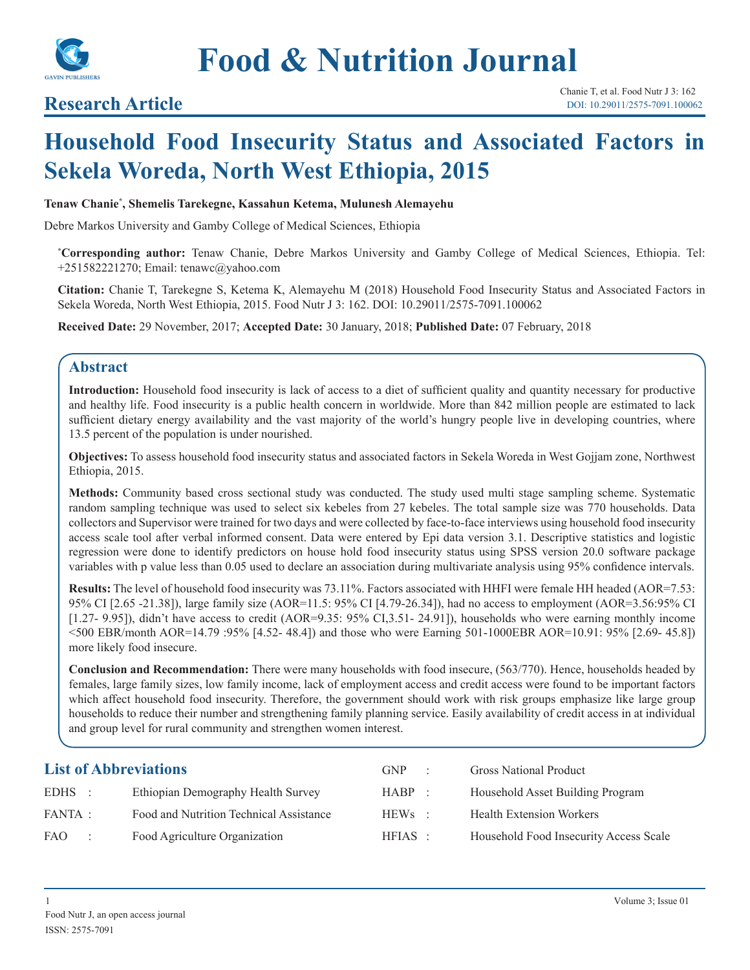

## **Research Article**

# **Household Food Insecurity Status and Associated Factors in Sekela Woreda, North West Ethiopia, 2015**

#### **Tenaw Chanie\* , Shemelis Tarekegne, Kassahun Ketema, Mulunesh Alemayehu**

Debre Markos University and Gamby College of Medical Sciences, Ethiopia

**\* Corresponding author:** Tenaw Chanie, Debre Markos University and Gamby College of Medical Sciences, Ethiopia. Tel: +251582221270; Email: tenawc@yahoo.com

**Citation:** Chanie T, Tarekegne S, Ketema K, Alemayehu M (2018) Household Food Insecurity Status and Associated Factors in Sekela Woreda, North West Ethiopia, 2015. Food Nutr J 3: 162. DOI: 10.29011/2575-7091.100062

**Received Date:** 29 November, 2017; **Accepted Date:** 30 January, 2018; **Published Date:** 07 February, 2018

## **Abstract**

**Introduction:** Household food insecurity is lack of access to a diet of sufficient quality and quantity necessary for productive and healthy life. Food insecurity is a public health concern in worldwide. More than 842 million people are estimated to lack sufficient dietary energy availability and the vast majority of the world's hungry people live in developing countries, where 13.5 percent of the population is under nourished.

**Objectives:** To assess household food insecurity status and associated factors in Sekela Woreda in West Gojjam zone, Northwest Ethiopia, 2015.

**Methods:** Community based cross sectional study was conducted. The study used multi stage sampling scheme. Systematic random sampling technique was used to select six kebeles from 27 kebeles. The total sample size was 770 households. Data collectors and Supervisor were trained for two days and were collected by face-to-face interviews using household food insecurity access scale tool after verbal informed consent. Data were entered by Epi data version 3.1. Descriptive statistics and logistic regression were done to identify predictors on house hold food insecurity status using SPSS version 20.0 software package variables with p value less than 0.05 used to declare an association during multivariate analysis using 95% confidence intervals.

**Results:** The level of household food insecurity was 73.11%. Factors associated with HHFI were female HH headed (AOR=7.53: 95% CI [2.65 -21.38]), large family size (AOR=11.5: 95% CI [4.79-26.34]), had no access to employment (AOR=3.56:95% CI [1.27- 9.95]), didn't have access to credit (AOR=9.35: 95% CI,3.51- 24.91]), households who were earning monthly income <500 EBR/month AOR=14.79 :95% [4.52- 48.4]) and those who were Earning 501-1000EBR AOR=10.91: 95% [2.69- 45.8]) more likely food insecure.

**Conclusion and Recommendation:** There were many households with food insecure, (563/770). Hence, households headed by females, large family sizes, low family income, lack of employment access and credit access were found to be important factors which affect household food insecurity. Therefore, the government should work with risk groups emphasize like large group households to reduce their number and strengthening family planning service. Easily availability of credit access in at individual and group level for rural community and strengthen women interest.

GNP : Gross National Product

| <b>List of Abbreviations</b> |  |
|------------------------------|--|
|                              |  |

| пля от таритетнато на |                                         | . <b>. .</b> | SHOSS INALIVIIAI I TOUUCI              |
|-----------------------|-----------------------------------------|--------------|----------------------------------------|
| EDHS                  | Ethiopian Demography Health Survey      | $HABP$ :     | Household Asset Building Program       |
| FANTA : I             | Food and Nutrition Technical Assistance | $HEWs$ :     | <b>Health Extension Workers</b>        |
| FAO.                  | Food Agriculture Organization           | $HFIAS$ :    | Household Food Insecurity Access Scale |
|                       |                                         |              |                                        |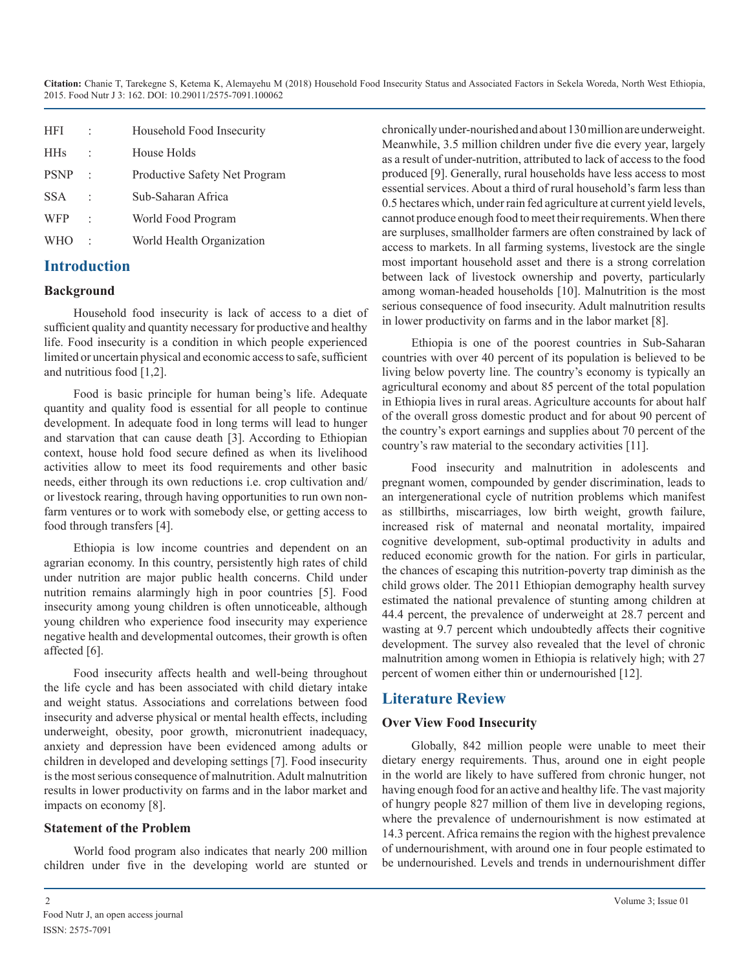| HFI  | Household Food Insecurity     |
|------|-------------------------------|
| HHs  | House Holds                   |
| PSNP | Productive Safety Net Program |
| SSA  | Sub-Saharan Africa            |
| WFP  | World Food Program            |
| WHO  | World Health Organization     |

## **Introduction**

#### **Background**

Household food insecurity is lack of access to a diet of sufficient quality and quantity necessary for productive and healthy life. Food insecurity is a condition in which people experienced limited or uncertain physical and economic accessto safe, sufficient and nutritious food [1,2].

Food is basic principle for human being's life. Adequate quantity and quality food is essential for all people to continue development. In adequate food in long terms will lead to hunger and starvation that can cause death [3]. According to Ethiopian context, house hold food secure defined as when its livelihood activities allow to meet its food requirements and other basic needs, either through its own reductions i.e. crop cultivation and/ or livestock rearing, through having opportunities to run own nonfarm ventures or to work with somebody else, or getting access to food through transfers [4].

Ethiopia is low income countries and dependent on an agrarian economy. In this country, persistently high rates of child under nutrition are major public health concerns. Child under nutrition remains alarmingly high in poor countries [5]. Food insecurity among young children is often unnoticeable, although young children who experience food insecurity may experience negative health and developmental outcomes, their growth is often affected [6].

Food insecurity affects health and well-being throughout the life cycle and has been associated with child dietary intake and weight status. Associations and correlations between food insecurity and adverse physical or mental health effects, including underweight, obesity, poor growth, micronutrient inadequacy, anxiety and depression have been evidenced among adults or children in developed and developing settings [7]. Food insecurity is the most serious consequence of malnutrition. Adult malnutrition results in lower productivity on farms and in the labor market and impacts on economy [8].

#### **Statement of the Problem**

World food program also indicates that nearly 200 million children under five in the developing world are stunted or

chronically under-nourished and about 130 million are underweight. Meanwhile, 3.5 million children under five die every year, largely as a result of under-nutrition, attributed to lack of access to the food produced [9]. Generally, rural households have less access to most essential services. About a third of rural household's farm less than 0.5 hectares which, under rain fed agriculture at current yield levels, cannot produce enough food to meet their requirements. When there are surpluses, smallholder farmers are often constrained by lack of access to markets. In all farming systems, livestock are the single most important household asset and there is a strong correlation between lack of livestock ownership and poverty, particularly among woman-headed households [10]. Malnutrition is the most serious consequence of food insecurity. Adult malnutrition results in lower productivity on farms and in the labor market [8].

Ethiopia is one of the poorest countries in Sub-Saharan countries with over 40 percent of its population is believed to be living below poverty line. The country's economy is typically an agricultural economy and about 85 percent of the total population in Ethiopia lives in rural areas. Agriculture accounts for about half of the overall gross domestic product and for about 90 percent of the country's export earnings and supplies about 70 percent of the country's raw material to the secondary activities [11].

Food insecurity and malnutrition in adolescents and pregnant women, compounded by gender discrimination, leads to an intergenerational cycle of nutrition problems which manifest as stillbirths, miscarriages, low birth weight, growth failure, increased risk of maternal and neonatal mortality, impaired cognitive development, sub-optimal productivity in adults and reduced economic growth for the nation. For girls in particular, the chances of escaping this nutrition-poverty trap diminish as the child grows older. The 2011 Ethiopian demography health survey estimated the national prevalence of stunting among children at 44.4 percent, the prevalence of underweight at 28.7 percent and wasting at 9.7 percent which undoubtedly affects their cognitive development. The survey also revealed that the level of chronic malnutrition among women in Ethiopia is relatively high; with 27 percent of women either thin or undernourished [12].

## **Literature Review**

## **Over View Food Insecurity**

Globally, 842 million people were unable to meet their dietary energy requirements. Thus, around one in eight people in the world are likely to have suffered from chronic hunger, not having enough food for an active and healthy life. The vast majority of hungry people 827 million of them live in developing regions, where the prevalence of undernourishment is now estimated at 14.3 percent. Africa remains the region with the highest prevalence of undernourishment, with around one in four people estimated to be undernourished. Levels and trends in undernourishment differ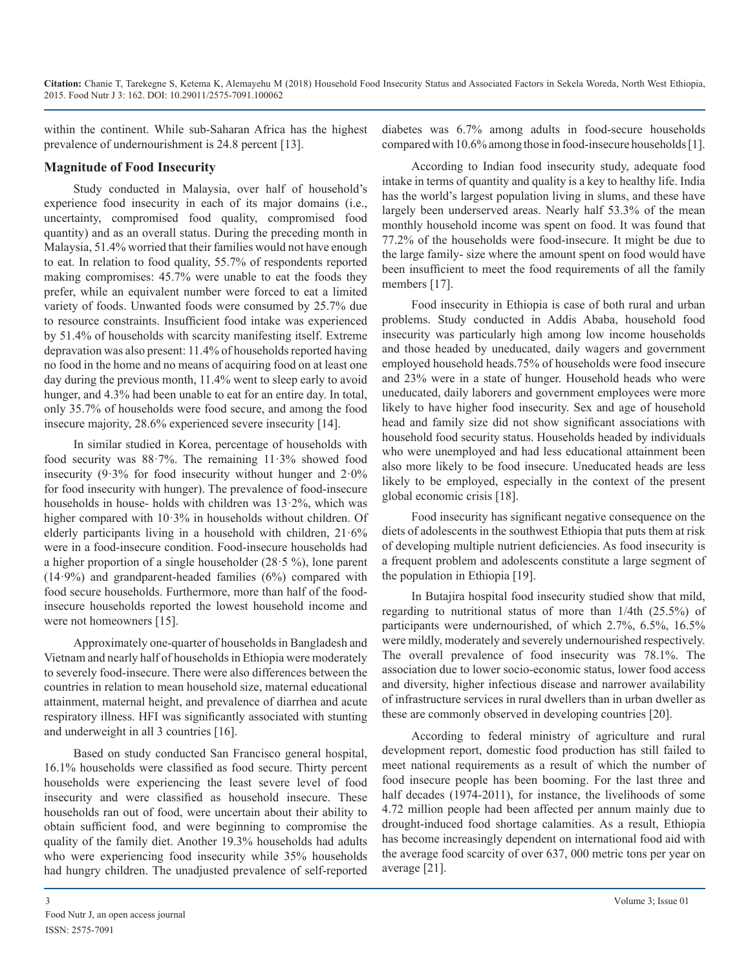within the continent. While sub-Saharan Africa has the highest prevalence of undernourishment is 24.8 percent [13].

diabetes was 6.7% among adults in food-secure households compared with 10.6% among those in food-insecure households [1].

## **Magnitude of Food Insecurity**

Study conducted in Malaysia, over half of household's experience food insecurity in each of its major domains (i.e., uncertainty, compromised food quality, compromised food quantity) and as an overall status. During the preceding month in Malaysia, 51.4% worried that their families would not have enough to eat. In relation to food quality, 55.7% of respondents reported making compromises: 45.7% were unable to eat the foods they prefer, while an equivalent number were forced to eat a limited variety of foods. Unwanted foods were consumed by 25.7% due to resource constraints. Insufficient food intake was experienced by 51.4% of households with scarcity manifesting itself. Extreme depravation was also present: 11.4% of households reported having no food in the home and no means of acquiring food on at least one day during the previous month, 11.4% went to sleep early to avoid hunger, and 4.3% had been unable to eat for an entire day. In total, only 35.7% of households were food secure, and among the food insecure majority, 28.6% experienced severe insecurity [14].

In similar studied in Korea, percentage of households with food security was 88·7%. The remaining 11·3% showed food insecurity (9·3% for food insecurity without hunger and 2·0% for food insecurity with hunger). The prevalence of food-insecure households in house- holds with children was 13·2%, which was higher compared with 10.3% in households without children. Of elderly participants living in a household with children, 21·6% were in a food-insecure condition. Food-insecure households had a higher proportion of a single householder (28·5 %), lone parent (14·9%) and grandparent-headed families (6%) compared with food secure households. Furthermore, more than half of the foodinsecure households reported the lowest household income and were not homeowners [15].

Approximately one-quarter of households in Bangladesh and Vietnam and nearly half of households in Ethiopia were moderately to severely food-insecure. There were also differences between the countries in relation to mean household size, maternal educational attainment, maternal height, and prevalence of diarrhea and acute respiratory illness. HFI was significantly associated with stunting and underweight in all 3 countries [16].

Based on study conducted San Francisco general hospital, 16.1% households were classified as food secure. Thirty percent households were experiencing the least severe level of food insecurity and were classified as household insecure. These households ran out of food, were uncertain about their ability to obtain sufficient food, and were beginning to compromise the quality of the family diet. Another 19.3% households had adults who were experiencing food insecurity while 35% households had hungry children. The unadjusted prevalence of self-reported

According to Indian food insecurity study, adequate food intake in terms of quantity and quality is a key to healthy life. India has the world's largest population living in slums, and these have largely been underserved areas. Nearly half 53.3% of the mean monthly household income was spent on food. It was found that 77.2% of the households were food-insecure. It might be due to the large family- size where the amount spent on food would have been insufficient to meet the food requirements of all the family members [17].

Food insecurity in Ethiopia is case of both rural and urban problems. Study conducted in Addis Ababa, household food insecurity was particularly high among low income households and those headed by uneducated, daily wagers and government employed household heads.75% of households were food insecure and 23% were in a state of hunger. Household heads who were uneducated, daily laborers and government employees were more likely to have higher food insecurity. Sex and age of household head and family size did not show significant associations with household food security status. Households headed by individuals who were unemployed and had less educational attainment been also more likely to be food insecure. Uneducated heads are less likely to be employed, especially in the context of the present global economic crisis [18].

Food insecurity has significant negative consequence on the diets of adolescents in the southwest Ethiopia that puts them at risk of developing multiple nutrient deficiencies. As food insecurity is a frequent problem and adolescents constitute a large segment of the population in Ethiopia [19].

In Butajira hospital food insecurity studied show that mild, regarding to nutritional status of more than 1/4th (25.5%) of participants were undernourished, of which 2.7%, 6.5%, 16.5% were mildly, moderately and severely undernourished respectively. The overall prevalence of food insecurity was 78.1%. The association due to lower socio-economic status, lower food access and diversity, higher infectious disease and narrower availability of infrastructure services in rural dwellers than in urban dweller as these are commonly observed in developing countries [20].

According to federal ministry of agriculture and rural development report, domestic food production has still failed to meet national requirements as a result of which the number of food insecure people has been booming. For the last three and half decades (1974-2011), for instance, the livelihoods of some 4.72 million people had been affected per annum mainly due to drought-induced food shortage calamities. As a result, Ethiopia has become increasingly dependent on international food aid with the average food scarcity of over 637, 000 metric tons per year on average [21].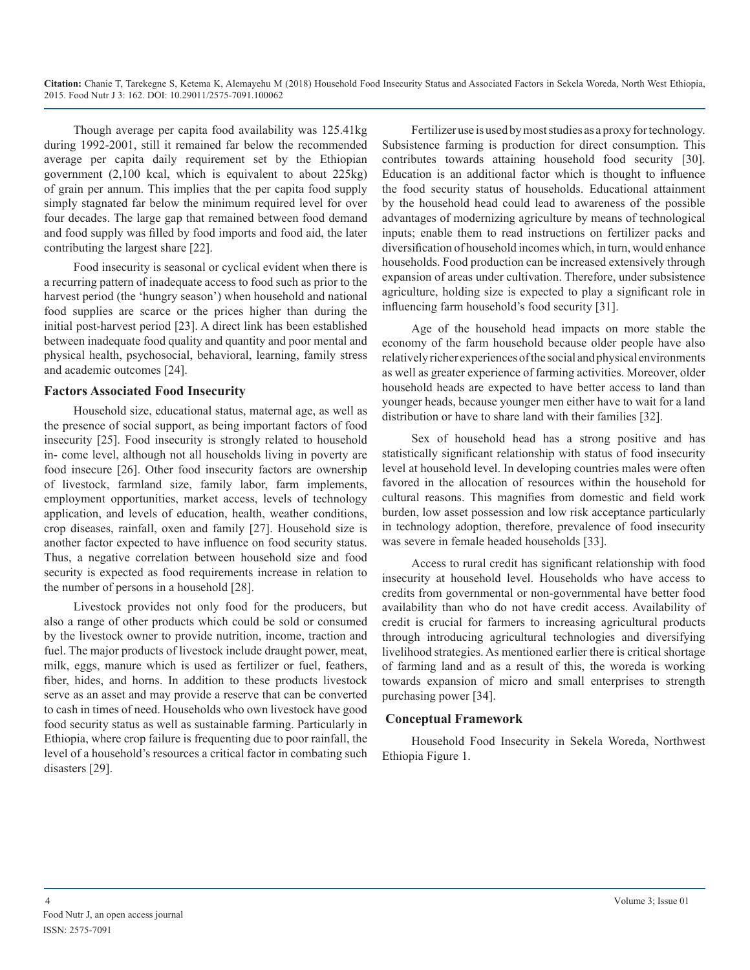Though average per capita food availability was 125.41kg during 1992-2001, still it remained far below the recommended average per capita daily requirement set by the Ethiopian government (2,100 kcal, which is equivalent to about 225kg) of grain per annum. This implies that the per capita food supply simply stagnated far below the minimum required level for over four decades. The large gap that remained between food demand and food supply was filled by food imports and food aid, the later contributing the largest share [22].

Food insecurity is seasonal or cyclical evident when there is a recurring pattern of inadequate access to food such as prior to the harvest period (the 'hungry season') when household and national food supplies are scarce or the prices higher than during the initial post-harvest period [23]. A direct link has been established between inadequate food quality and quantity and poor mental and physical health, psychosocial, behavioral, learning, family stress and academic outcomes [24].

#### **Factors Associated Food Insecurity**

Household size, educational status, maternal age, as well as the presence of social support, as being important factors of food insecurity [25]. Food insecurity is strongly related to household in- come level, although not all households living in poverty are food insecure [26]. Other food insecurity factors are ownership of livestock, farmland size, family labor, farm implements, employment opportunities, market access, levels of technology application, and levels of education, health, weather conditions, crop diseases, rainfall, oxen and family [27]. Household size is another factor expected to have influence on food security status. Thus, a negative correlation between household size and food security is expected as food requirements increase in relation to the number of persons in a household [28].

Livestock provides not only food for the producers, but also a range of other products which could be sold or consumed by the livestock owner to provide nutrition, income, traction and fuel. The major products of livestock include draught power, meat, milk, eggs, manure which is used as fertilizer or fuel, feathers, fiber, hides, and horns. In addition to these products livestock serve as an asset and may provide a reserve that can be converted to cash in times of need. Households who own livestock have good food security status as well as sustainable farming. Particularly in Ethiopia, where crop failure is frequenting due to poor rainfall, the level of a household's resources a critical factor in combating such disasters [29].

Fertilizer use is used by most studies as a proxy for technology. Subsistence farming is production for direct consumption. This contributes towards attaining household food security [30]. Education is an additional factor which is thought to influence the food security status of households. Educational attainment by the household head could lead to awareness of the possible advantages of modernizing agriculture by means of technological inputs; enable them to read instructions on fertilizer packs and diversification of household incomes which, in turn, would enhance households. Food production can be increased extensively through expansion of areas under cultivation. Therefore, under subsistence agriculture, holding size is expected to play a significant role in influencing farm household's food security [31].

Age of the household head impacts on more stable the economy of the farm household because older people have also relatively richer experiences of the social and physical environments as well as greater experience of farming activities. Moreover, older household heads are expected to have better access to land than younger heads, because younger men either have to wait for a land distribution or have to share land with their families [32].

Sex of household head has a strong positive and has statistically significant relationship with status of food insecurity level at household level. In developing countries males were often favored in the allocation of resources within the household for cultural reasons. This magnifies from domestic and field work burden, low asset possession and low risk acceptance particularly in technology adoption, therefore, prevalence of food insecurity was severe in female headed households [33].

Access to rural credit has significant relationship with food insecurity at household level. Households who have access to credits from governmental or non-governmental have better food availability than who do not have credit access. Availability of credit is crucial for farmers to increasing agricultural products through introducing agricultural technologies and diversifying livelihood strategies. As mentioned earlier there is critical shortage of farming land and as a result of this, the woreda is working towards expansion of micro and small enterprises to strength purchasing power [34].

#### **Conceptual Framework**

Household Food Insecurity in Sekela Woreda, Northwest Ethiopia Figure 1.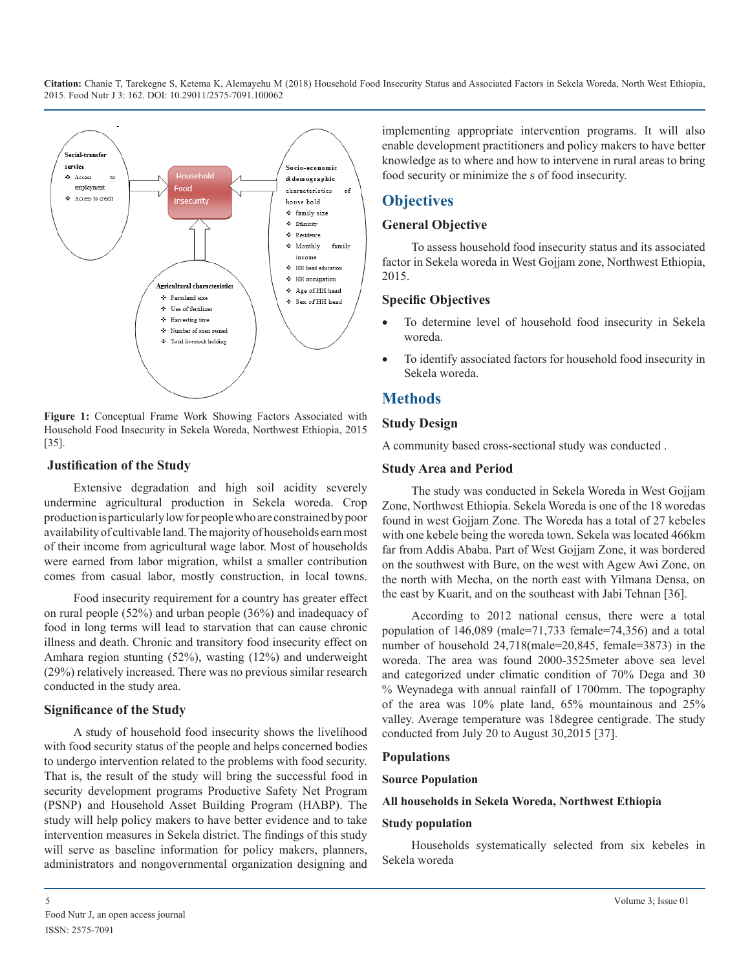

**Figure 1:** Conceptual Frame Work Showing Factors Associated with Household Food Insecurity in Sekela Woreda, Northwest Ethiopia, 2015 [35].

#### **Justification of the Study**

Extensive degradation and high soil acidity severely undermine agricultural production in Sekela woreda. Crop production is particularly low for people who are constrained by poor availability of cultivable land. The majority of households earn most of their income from agricultural wage labor. Most of households were earned from labor migration, whilst a smaller contribution comes from casual labor, mostly construction, in local towns.

Food insecurity requirement for a country has greater effect on rural people (52%) and urban people (36%) and inadequacy of food in long terms will lead to starvation that can cause chronic illness and death. Chronic and transitory food insecurity effect on Amhara region stunting (52%), wasting (12%) and underweight (29%) relatively increased. There was no previous similar research conducted in the study area.

#### **Significance of the Study**

A study of household food insecurity shows the livelihood with food security status of the people and helps concerned bodies to undergo intervention related to the problems with food security. That is, the result of the study will bring the successful food in security development programs Productive Safety Net Program (PSNP) and Household Asset Building Program (HABP). The study will help policy makers to have better evidence and to take intervention measures in Sekela district. The findings of this study will serve as baseline information for policy makers, planners, administrators and nongovernmental organization designing and implementing appropriate intervention programs. It will also enable development practitioners and policy makers to have better knowledge as to where and how to intervene in rural areas to bring food security or minimize the s of food insecurity.

## **Objectives**

## **General Objective**

To assess household food insecurity status and its associated factor in Sekela woreda in West Gojjam zone, Northwest Ethiopia, 2015.

## **Specific Objectives**

- To determine level of household food insecurity in Sekela woreda.
- To identify associated factors for household food insecurity in Sekela woreda.

## **Methods**

## **Study Design**

A community based cross-sectional study was conducted .

## **Study Area and Period**

The study was conducted in Sekela Woreda in West Gojjam Zone, Northwest Ethiopia. Sekela Woreda is one of the 18 woredas found in west Gojjam Zone. The Woreda has a total of 27 kebeles with one kebele being the woreda town. Sekela was located 466km far from Addis Ababa. Part of [West Gojjam Zone](http://en.wikipedia.org/wiki/Mirab_Gojjam_Zone), it was bordered on the southwest with [Bure,](http://en.wikipedia.org/wiki/Bure,_Gojjam_%28woreda%29) on the west with [Agew Awi Zone,](http://en.wikipedia.org/wiki/Agew_Awi_Zone) on the north with [Mecha](http://en.wikipedia.org/wiki/Mecha_%28woreda%29), on the north east with [Yilmana Densa](http://en.wikipedia.org/wiki/Yilmana_Densa), on the east by [Kuarit,](http://en.wikipedia.org/wiki/Kuarit) and on the southeast with [Jabi Tehnan](http://en.wikipedia.org/wiki/Jabi_Tehnan) [36].

According to 2012 national census, there were a total population of 146,089 (male=71,733 female=74,356) and a total number of household 24,718(male=20,845, female=3873) in the woreda. The area was found 2000-3525meter above sea level and categorized under climatic condition of 70% Dega and 30 % Weynadega with annual rainfall of 1700mm. The topography of the area was 10% plate land, 65% mountainous and 25% valley. Average temperature was 18degree centigrade. The study conducted from July 20 to August 30,2015 [37].

## **Populations**

#### **Source Population**

## **All households in Sekela Woreda, Northwest Ethiopia**

#### **Study population**

Households systematically selected from six kebeles in Sekela woreda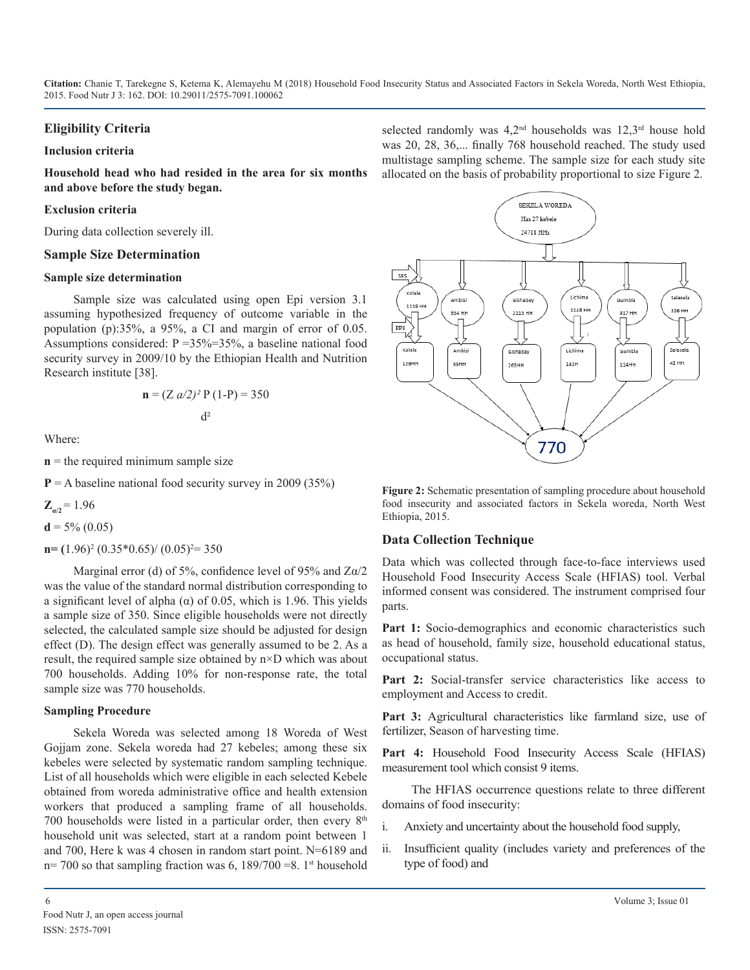## **Eligibility Criteria**

#### **Inclusion criteria**

**Household head who had resided in the area for six months and above before the study began.**

#### **Exclusion criteria**

During data collection severely ill.

#### **Sample Size Determination**

#### **Sample size determination**

Sample size was calculated using open Epi version 3.1 assuming hypothesized frequency of outcome variable in the population (p):35%, a 95%, a CI and margin of error of 0.05. Assumptions considered:  $P = 35\% = 35\%$ , a baseline national food security survey in 2009/10 by the Ethiopian Health and Nutrition Research institute [38].

$$
\mathbf{n} = (Z \, a/2)^2 \, \text{P} \, (1-\text{P}) = 350
$$
\n
$$
d^2
$$

Where:

 $n =$  the required minimum sample size

 $P = A$  baseline national food security survey in 2009 (35%)

$$
\mathbf{Z}_{a/2} = 1.96
$$

 $d = 5\% (0.05)$ 

$$
\mathbf{n} = (1.96)^2 (0.35^* 0.65) / (0.05)^2 = 350
$$

Marginal error (d) of 5%, confidence level of 95% and  $Z\alpha/2$ was the value of the standard normal distribution corresponding to a significant level of alpha (α) of 0.05, which is 1.96. This yields a sample size of 350. Since eligible households were not directly selected, the calculated sample size should be adjusted for design effect (D). The design effect was generally assumed to be 2. As a result, the required sample size obtained by n×D which was about 700 households. Adding 10% for non-response rate, the total sample size was 770 households.

#### **Sampling Procedure**

Sekela Woreda was selected among 18 Woreda of West Gojjam zone. Sekela woreda had 27 kebeles; among these six kebeles were selected by systematic random sampling technique. List of all households which were eligible in each selected Kebele obtained from woreda administrative office and health extension workers that produced a sampling frame of all households. 700 households were listed in a particular order, then every  $8<sup>th</sup>$ household unit was selected, start at a random point between 1 and 700, Here k was 4 chosen in random start point. N=6189 and  $n= 700$  so that sampling fraction was 6, 189/700 =8. 1<sup>st</sup> household

selected randomly was 4,2<sup>nd</sup> households was 12,3<sup>rd</sup> house hold was 20, 28, 36,... finally 768 household reached. The study used multistage sampling scheme. The sample size for each study site allocated on the basis of probability proportional to size Figure 2.



**Figure 2:** Schematic presentation of sampling procedure about household food insecurity and associated factors in Sekela woreda, North West Ethiopia, 2015.

## **Data Collection Technique**

Data which was collected through face-to-face interviews used Household Food Insecurity Access Scale (HFIAS) tool. Verbal informed consent was considered. The instrument comprised four parts.

Part 1: Socio-demographics and economic characteristics such as head of household, family size, household educational status, occupational status.

**Part 2:** Social-transfer service characteristics like access to employment and Access to credit.

Part 3: Agricultural characteristics like farmland size, use of fertilizer, Season of harvesting time.

Part 4: Household Food Insecurity Access Scale (HFIAS) measurement tool which consist 9 items.

The HFIAS occurrence questions relate to three different domains of food insecurity:

- i. Anxiety and uncertainty about the household food supply,
- ii. Insufficient quality (includes variety and preferences of the type of food) and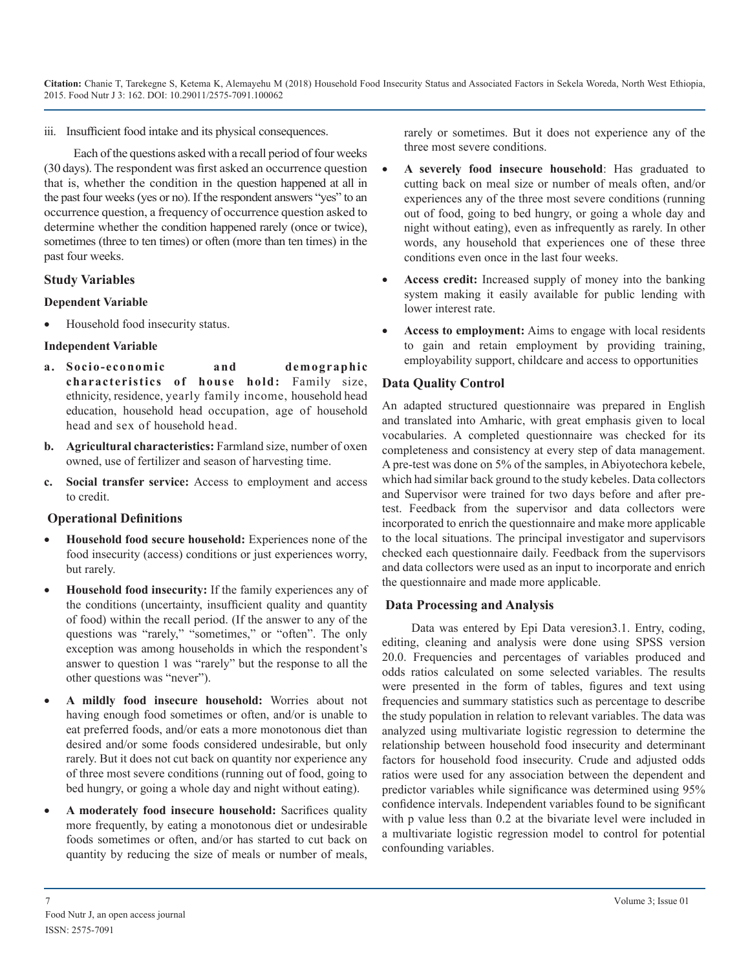iii. Insufficient food intake and its physical consequences.

Each of the questions asked with a recall period of four weeks (30 days). The respondent was first asked an occurrence question that is, whether the condition in the question happened at all in the past four weeks (yes or no). If the respondent answers "yes" to an occurrence question, a frequency of occurrence question asked to determine whether the condition happened rarely (once or twice), sometimes (three to ten times) or often (more than ten times) in the past four weeks.

## **Study Variables**

#### **Dependent Variable**

Household food insecurity status.

#### **Independent Variable**

- **a. Socio-economic and demographic characteristics of house hold:** Family size, ethnicity, residence, yearly family income, household head education, household head occupation, age of household head and sex of household head.
- **b. Agricultural characteristics:** Farmland size, number of oxen owned, use of fertilizer and season of harvesting time.
- **c. Social transfer service:** Access to employment and access to credit.

## **Operational Definitions**

- **Household food secure household:** Experiences none of the food insecurity (access) conditions or just experiences worry, but rarely.
- **Household food insecurity:** If the family experiences any of the conditions (uncertainty, insufficient quality and quantity of food) within the recall period. (If the answer to any of the questions was "rarely," "sometimes," or "often". The only exception was among households in which the respondent's answer to question 1 was "rarely" but the response to all the other questions was "never").
- A mildly food insecure household: Worries about not having enough food sometimes or often, and/or is unable to eat preferred foods, and/or eats a more monotonous diet than desired and/or some foods considered undesirable, but only rarely. But it does not cut back on quantity nor experience any of three most severe conditions (running out of food, going to bed hungry, or going a whole day and night without eating).
- A moderately food insecure household: Sacrifices quality more frequently, by eating a monotonous diet or undesirable foods sometimes or often, and/or has started to cut back on quantity by reducing the size of meals or number of meals,

rarely or sometimes. But it does not experience any of the three most severe conditions.

- A severely food insecure household: Has graduated to cutting back on meal size or number of meals often, and/or experiences any of the three most severe conditions (running out of food, going to bed hungry, or going a whole day and night without eating), even as infrequently as rarely. In other words, any household that experiences one of these three conditions even once in the last four weeks.
- Access credit: Increased [supply](http://www.businessdictionary.com/definition/supply.html) of [money](http://www.businessdictionary.com/definition/money.html) into the [banking](http://www.businessdictionary.com/definition/banking-system.html) [system](http://www.businessdictionary.com/definition/banking-system.html) [making](http://www.businessdictionary.com/definition/maker.html) it easily available for public [lending](http://www.businessdictionary.com/definition/lender.html) with lower [interest rate](http://www.businessdictionary.com/definition/interest-rate.html).
- Access to employment: Aims to engage with local residents to gain and retain employment by providing training, employability support, childcare and access to opportunities

## **Data Quality Control**

An adapted structured questionnaire was prepared in English and translated into Amharic, with great emphasis given to local vocabularies. A completed questionnaire was checked for its completeness and consistency at every step of data management. A pre-test was done on 5% of the samples, in Abiyotechora kebele, which had similar back ground to the study kebeles. Data collectors and Supervisor were trained for two days before and after pretest. Feedback from the supervisor and data collectors were incorporated to enrich the questionnaire and make more applicable to the local situations. The principal investigator and supervisors checked each questionnaire daily. Feedback from the supervisors and data collectors were used as an input to incorporate and enrich the questionnaire and made more applicable.

## **Data Processing and Analysis**

Data was entered by Epi Data veresion3.1. Entry, coding, editing, cleaning and analysis were done using SPSS version 20.0. Frequencies and percentages of variables produced and odds ratios calculated on some selected variables. The results were presented in the form of tables, figures and text using frequencies and summary statistics such as percentage to describe the study population in relation to relevant variables. The data was analyzed using multivariate logistic regression to determine the relationship between household food insecurity and determinant factors for household food insecurity. Crude and adjusted odds ratios were used for any association between the dependent and predictor variables while significance was determined using 95% confidence intervals. Independent variables found to be significant with p value less than 0.2 at the bivariate level were included in a multivariate logistic regression model to control for potential confounding variables.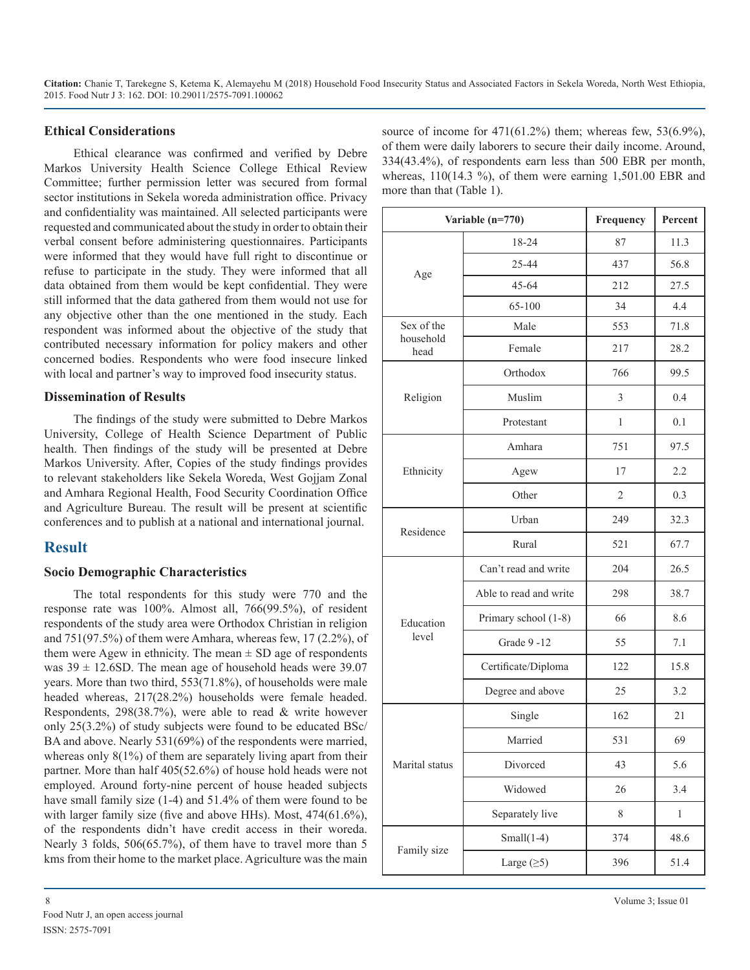#### **Ethical Considerations**

Ethical clearance was confirmed and verified by Debre Markos University Health Science College Ethical Review Committee; further permission letter was secured from formal sector institutions in Sekela woreda administration office. Privacy and confidentiality was maintained. All selected participants were requested and communicated about the study in order to obtain their verbal consent before administering questionnaires. Participants were informed that they would have full right to discontinue or refuse to participate in the study. They were informed that all data obtained from them would be kept confidential. They were still informed that the data gathered from them would not use for any objective other than the one mentioned in the study. Each respondent was informed about the objective of the study that contributed necessary information for policy makers and other concerned bodies. Respondents who were food insecure linked with local and partner's way to improved food insecurity status.

#### **Dissemination of Results**

The findings of the study were submitted to Debre Markos University, College of Health Science Department of Public health. Then findings of the study will be presented at Debre Markos University. After, Copies of the study findings provides to relevant stakeholders like Sekela Woreda, West Gojjam Zonal and Amhara Regional Health, Food Security Coordination Office and Agriculture Bureau. The result will be present at scientific conferences and to publish at a national and international journal.

## **Result**

#### **Socio Demographic Characteristics**

The total respondents for this study were 770 and the response rate was 100%. Almost all, 766(99.5%), of resident respondents of the study area were Orthodox Christian in religion and 751(97.5%) of them were Amhara, whereas few, 17 (2.2%), of them were Agew in ethnicity. The mean  $\pm$  SD age of respondents was  $39 \pm 12.6$ SD. The mean age of household heads were 39.07 years. More than two third, 553(71.8%), of households were male headed whereas, 217(28.2%) households were female headed. Respondents, 298(38.7%), were able to read & write however only 25(3.2%) of study subjects were found to be educated BSc/ BA and above. Nearly 531(69%) of the respondents were married, whereas only  $8(1\%)$  of them are separately living apart from their partner. More than half 405(52.6%) of house hold heads were not employed. Around forty-nine percent of house headed subjects have small family size (1-4) and 51.4% of them were found to be with larger family size (five and above HHs). Most, 474(61.6%), of the respondents didn't have credit access in their woreda. Nearly 3 folds, 506(65.7%), of them have to travel more than 5 kms from their home to the market place. Agriculture was the main

source of income for  $471(61.2%)$  them; whereas few,  $53(6.9%)$ , of them were daily laborers to secure their daily income. Around, 334(43.4%), of respondents earn less than 500 EBR per month, whereas, 110(14.3 %), of them were earning 1,501.00 EBR and more than that (Table 1).

| Variable (n=770)        |                        | Frequency | Percent      |
|-------------------------|------------------------|-----------|--------------|
|                         | 18-24                  | 87        | 11.3         |
| Age                     | 25-44                  | 437       | 56.8         |
|                         | 45-64                  | 212       | 27.5         |
|                         | 65-100                 | 34        | 4.4          |
| Sex of the<br>household | Male                   | 553       | 71.8         |
| head                    | Female                 | 217       | 28.2         |
|                         | Orthodox               | 766       | 99.5         |
| Religion                | Muslim                 | 3         | 0.4          |
|                         | Protestant             | 1         | 0.1          |
|                         | Amhara                 | 751       | 97.5         |
| Ethnicity               | Agew                   | 17        | 2.2          |
|                         | Other                  | 2         | 0.3          |
|                         | Urban                  | 249       | 32.3         |
| Residence               | Rural                  | 521       | 67.7         |
|                         | Can't read and write   | 204       | 26.5         |
|                         | Able to read and write | 298       | 38.7         |
| Education               | Primary school (1-8)   | 66        | 8.6          |
| level                   | Grade 9 -12            | 55        | 7.1          |
|                         | Certificate/Diploma    | 122       | 15.8         |
|                         | Degree and above       | 25        | 3.2          |
|                         | Single                 | 162       | 21           |
|                         | Married                |           | 69           |
| Marital status          | Divorced               |           | 5.6          |
|                         | Widowed                | 26        | 3.4          |
|                         | Separately live        | 8         | $\mathbf{1}$ |
|                         | Small $(1-4)$          | 374       | 48.6         |
| Family size             | Large $(\ge)$          | 396       | 51.4         |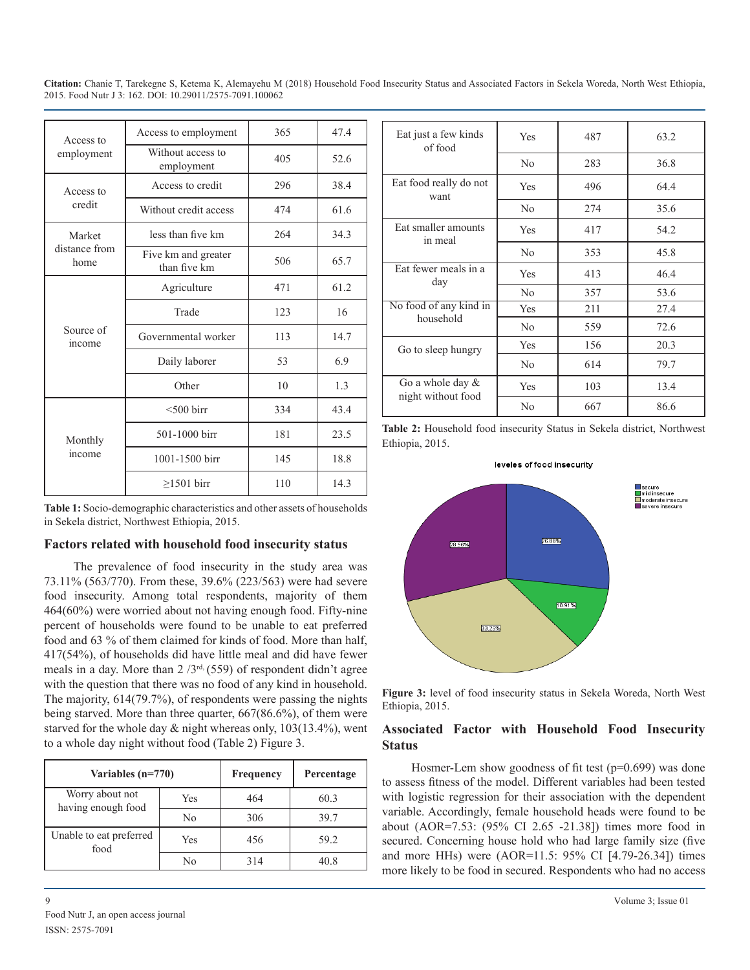| Access to             | Access to employment                | 365 | 47.4 |
|-----------------------|-------------------------------------|-----|------|
| employment            | Without access to<br>employment     | 405 | 52.6 |
| Access to             | Access to credit                    | 296 | 38.4 |
| credit                | Without credit access               | 474 | 61.6 |
| Market                | less than five km                   | 264 | 34.3 |
| distance from<br>home | Five km and greater<br>than five km | 506 | 65.7 |
| Source of<br>income   | Agriculture                         | 471 | 61.2 |
|                       | Trade                               | 123 | 16   |
|                       | Governmental worker                 | 113 | 14.7 |
|                       | Daily laborer                       | 53  | 6.9  |
|                       | Other                               | 10  | 1.3  |
|                       | $<$ 500 birr                        | 334 | 43.4 |
| Monthly               | 501-1000 birr                       | 181 | 23.5 |
| income                | 1001-1500 birr                      | 145 | 18.8 |
|                       | $\geq$ 1501 birr                    | 110 | 14.3 |

**Table 1:** Socio-demographic characteristics and other assets of households in Sekela district, Northwest Ethiopia, 2015.

#### **Factors related with household food insecurity status**

The prevalence of food insecurity in the study area was 73.11% (563/770). From these, 39.6% (223/563) were had severe food insecurity. Among total respondents, majority of them 464(60%) were worried about not having enough food. Fifty-nine percent of households were found to be unable to eat preferred food and 63 % of them claimed for kinds of food. More than half, 417(54%), of households did have little meal and did have fewer meals in a day. More than  $2/3^{rd}$ , (559) of respondent didn't agree with the question that there was no food of any kind in household. The majority, 614(79.7%), of respondents were passing the nights being starved. More than three quarter, 667(86.6%), of them were starved for the whole day & night whereas only, 103(13.4%), went to a whole day night without food (Table 2) Figure 3.

| Variables $(n=770)$                   |     | Frequency | Percentage |
|---------------------------------------|-----|-----------|------------|
| Worry about not<br>having enough food | Yes | 464       | 60.3       |
|                                       | Nο  | 306       | 39.7       |
| Unable to eat preferred<br>food       | Yes | 456       | 59.2       |
|                                       | Nο  | 314       | 40.8       |

| Eat just a few kinds<br>of food | Yes            | 487 | 63.2 |
|---------------------------------|----------------|-----|------|
|                                 | N <sub>0</sub> | 283 | 36.8 |
| Eat food really do not<br>want  | Yes            | 496 | 64.4 |
|                                 | N <sub>0</sub> | 274 | 35.6 |
| Eat smaller amounts<br>in meal  | Yes            | 417 | 54.2 |
|                                 | No             | 353 | 45.8 |
| Eat fewer meals in a<br>day     | Yes            | 413 | 46.4 |
|                                 | No             | 357 | 53.6 |
| No food of any kind in          | Yes            | 211 | 27.4 |
| household                       | No             | 559 | 72.6 |
| Go to sleep hungry              | Yes            | 156 | 20.3 |
|                                 | No             | 614 | 79.7 |
| Go a whole day $\&$             | Yes            | 103 | 13.4 |
| night without food              | No             | 667 | 86.6 |

**Table 2:** Household food insecurity Status in Sekela district, Northwest Ethiopia, 2015.



leveles of food insecurity

**Figure 3:** level of food insecurity status in Sekela Woreda, North West Ethiopia, 2015.

## **Associated Factor with Household Food Insecurity Status**

Hosmer-Lem show goodness of fit test (p=0.699) was done to assess fitness of the model. Different variables had been tested with logistic [regression](file:///C:/Users/B%20Phaneendra%20Reddy/Desktop/regression.doc) for their association with the dependent variable. Accordingly, female household heads were found to be about (AOR=7.53: (95% CI 2.65 -21.38]) times more food in secured. Concerning house hold who had large family size (five and more HHs) were (AOR=11.5: 95% CI [4.79-26.34]) times more likely to be food in secured. Respondents who had no access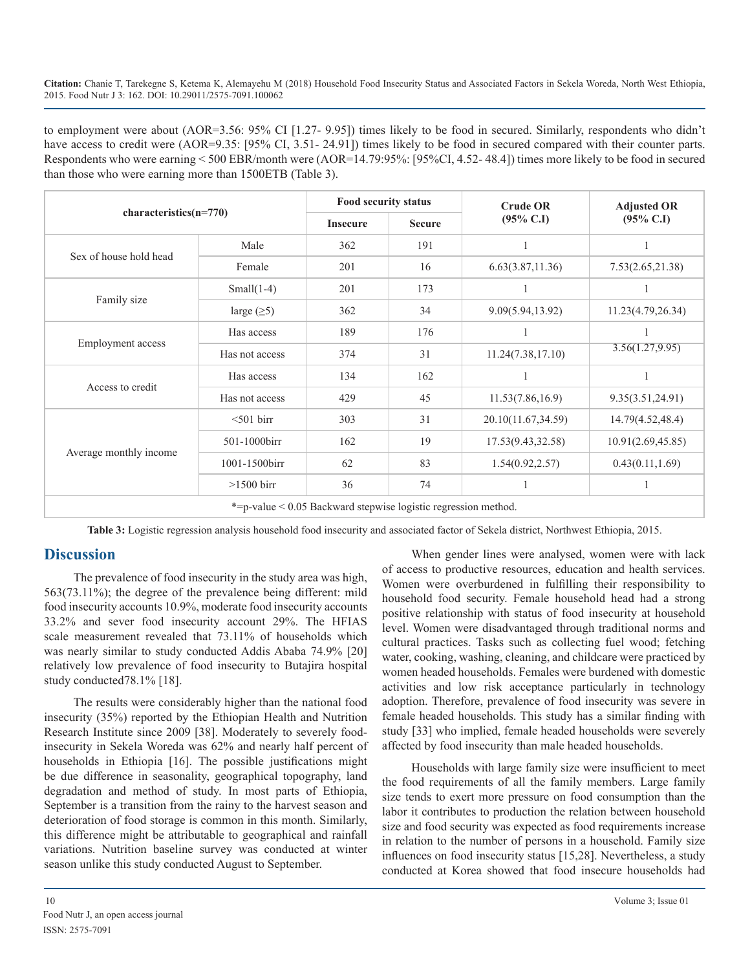to employment were about (AOR=3.56: 95% CI [1.27- 9.95]) times likely to be food in secured. Similarly, respondents who didn't have access to credit were (AOR=9.35: [95% CI, 3.51- 24.91]) times likely to be food in secured compared with their counter parts. Respondents who were earning < 500 EBR/month were (AOR=14.79:95%: [95%CI, 4.52- 48.4]) times more likely to be food in secured than those who were earning more than 1500ETB (Table 3).

| $characteristics(n=770)$                                           |                  | Food security status |               | <b>Crude OR</b>      | <b>Adjusted OR</b>  |
|--------------------------------------------------------------------|------------------|----------------------|---------------|----------------------|---------------------|
|                                                                    |                  | <b>Insecure</b>      | <b>Secure</b> | $(95\% \text{ C.1})$ | $(95\% \text{ C}J)$ |
|                                                                    | Male             | 362                  | 191           |                      |                     |
| Sex of house hold head                                             | Female           | 201                  | 16            | 6.63(3.87,11.36)     | 7.53(2.65,21.38)    |
|                                                                    | Small $(1-4)$    | 201                  | 173           |                      |                     |
| Family size                                                        | large $(\geq 5)$ | 362                  | 34            | 9.09(5.94,13.92)     | 11.23(4.79,26.34)   |
| <b>Employment</b> access                                           | Has access       | 189                  | 176           |                      |                     |
|                                                                    | Has not access   | 374                  | 31            | 11.24(7.38, 17.10)   | 3.56(1.27, 9.95)    |
|                                                                    | Has access       | 134                  | 162           |                      |                     |
| Access to credit                                                   | Has not access   | 429                  | 45            | 11.53(7.86,16.9)     | 9.35(3.51, 24.91)   |
| Average monthly income                                             | $<$ 501 birr     | 303                  | 31            | 20.10(11.67,34.59)   | 14.79(4.52,48.4)    |
|                                                                    | 501-1000birr     | 162                  | 19            | 17.53(9.43,32.58)    | 10.91(2.69,45.85)   |
|                                                                    | 1001-1500birr    | 62                   | 83            | 1.54(0.92, 2.57)     | 0.43(0.11, 1.69)    |
|                                                                    | $>1500$ birr     | 36                   | 74            |                      |                     |
| $* = p-value < 0.05$ Backward stepwise logistic regression method. |                  |                      |               |                      |                     |

**Table 3:** Logistic regression analysis household food insecurity and associated factor of Sekela district, Northwest Ethiopia, 2015.

## **Discussion**

The prevalence of food insecurity in the study area was high, 563(73.11%); the degree of the prevalence being different: mild food insecurity accounts 10.9%, moderate food insecurity accounts 33.2% and sever food insecurity account 29%. The HFIAS scale measurement revealed that 73.11% of households which was nearly similar to study conducted Addis Ababa 74.9% [20] relatively low prevalence of food insecurity to Butajira hospital study conducted78.1% [18].

The results were considerably higher than the national food insecurity (35%) reported by the Ethiopian Health and Nutrition Research Institute since 2009 [38]. Moderately to severely foodinsecurity in Sekela Woreda was 62% and nearly half percent of households in Ethiopia [16]. The possible justifications might be due difference in seasonality, geographical topography, land degradation and method of study. In most parts of Ethiopia, September is a transition from the rainy to the harvest season and deterioration of food storage is common in this month. Similarly, this difference might be attributable to geographical and rainfall variations. Nutrition baseline survey was conducted at winter season unlike this study conducted August to September.

When gender lines were analysed, women were with lack of access to productive resources, education and health services. Women were overburdened in fulfilling their responsibility to household food security. Female household head had a strong positive relationship with status of food insecurity at household level. Women were disadvantaged through traditional norms and cultural practices. Tasks such as collecting fuel wood; fetching water, cooking, washing, cleaning, and childcare were practiced by women headed households. Females were burdened with domestic activities and low risk acceptance particularly in technology adoption. Therefore, prevalence of food insecurity was severe in female headed households. This study has a similar finding with study [33] who implied, female headed households were severely affected by food insecurity than male headed households.

Households with large family size were insufficient to meet the food requirements of all the family members. Large family size tends to exert more pressure on food consumption than the labor it contributes to production the relation between household size and food security was expected as food requirements increase in relation to the number of persons in a household. Family size influences on food insecurity status [15,28]. Nevertheless, a study conducted at Korea showed that food insecure households had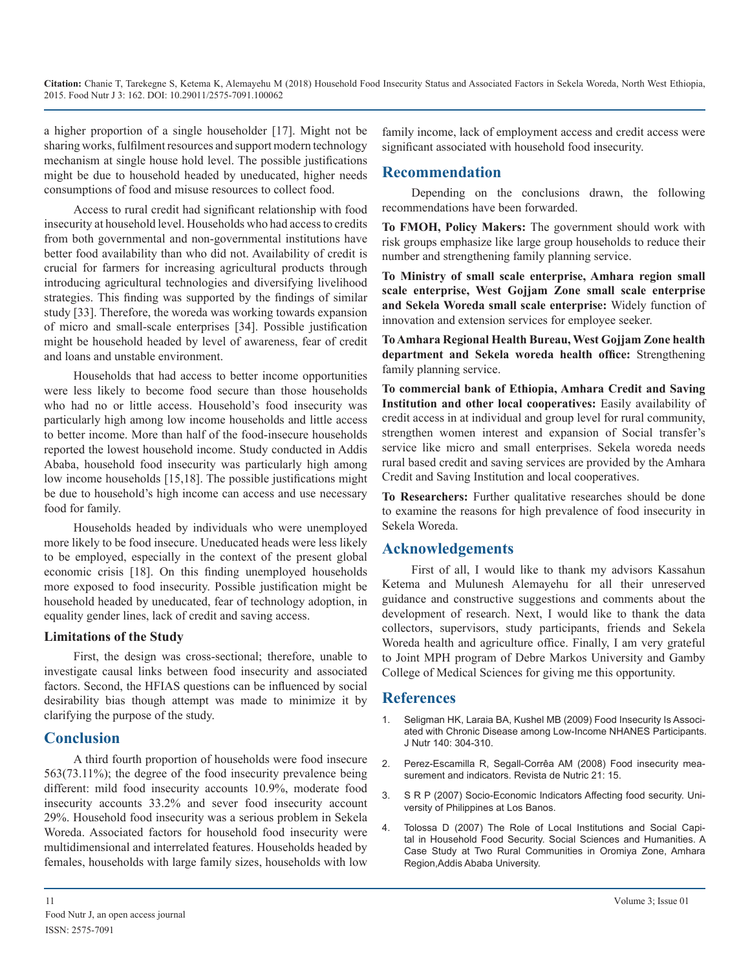a higher proportion of a single householder [17]. Might not be sharing works, fulfilment resources and support modern technology mechanism at single house hold level. The possible justifications might be due to household headed by uneducated, higher needs consumptions of food and misuse resources to collect food.

Access to rural credit had significant relationship with food insecurity at household level. Households who had access to credits from both governmental and non-governmental institutions have better food availability than who did not. Availability of credit is crucial for farmers for increasing agricultural products through introducing agricultural technologies and diversifying livelihood strategies. This finding was supported by the findings of similar study [33]. Therefore, the woreda was working towards expansion of micro and small-scale enterprises [34]. Possible justification might be household headed by level of awareness, fear of credit and loans and unstable environment.

Households that had access to better income opportunities were less likely to become food secure than those households who had no or little access. Household's food insecurity was particularly high among low income households and little access to better income. More than half of the food-insecure households reported the lowest household income. Study conducted in Addis Ababa, household food insecurity was particularly high among low income households [15,18]. The possible justifications might be due to household's high income can access and use necessary food for family.

Households headed by individuals who were unemployed more likely to be food insecure. Uneducated heads were less likely to be employed, especially in the context of the present global economic crisis [18]. On this finding unemployed households more exposed to food insecurity. Possible justification might be household headed by uneducated, fear of technology adoption, in equality gender lines, lack of credit and saving access.

#### **Limitations of the Study**

First, the design was cross-sectional; therefore, unable to investigate causal links between food insecurity and associated factors. Second, the HFIAS questions can be influenced by social desirability bias though attempt was made to minimize it by clarifying the purpose of the study.

## **Conclusion**

A third fourth proportion of households were food insecure [563\(73.11%\); the degree of the food insecurity prevalence being](http://www.scielo.br/scielo.php?script=sci_arttext&pid=S1415-52732008000700003)  different: mild food insecurity accounts 10.9%, moderate food insecurity accounts 33.2% and sever food insecurity account 29%. Household food insecurity was a serious problem in Sekela Woreda. Associated factors for household food insecurity were multidimensional and interrelated features. Households headed by females, households with large family sizes, households with low

family income, lack of employment access and credit access were significant associated with household food insecurity.

## **Recommendation**

Depending on the conclusions drawn, the following recommendations have been forwarded.

**To FMOH, Policy Makers:** The government should work with risk groups emphasize like large group households to reduce their number and strengthening family planning service.

**To Ministry of small scale enterprise, Amhara region small scale enterprise, West Gojjam Zone small scale enterprise and Sekela Woreda small scale enterprise:** Widely function of innovation and extension services for employee seeker.

**To Amhara Regional Health Bureau, West Gojjam Zone health department and Sekela woreda health office:** Strengthening family planning service.

**To commercial bank of Ethiopia, Amhara Credit and Saving Institution and other local cooperatives:** Easily availability of credit access in at individual and group level for rural community, strengthen women interest and expansion of Social transfer's service like micro and small enterprises. Sekela woreda needs rural based credit and saving services are provided by the Amhara Credit and Saving Institution and local cooperatives.

**To Researchers:** Further qualitative researches should be done to examine the reasons for high prevalence of food insecurity in Sekela Woreda.

## **Acknowledgements**

First of all, I would like to thank my advisors Kassahun Ketema and Mulunesh Alemayehu for all their unreserved guidance and constructive suggestions and comments about the development of research. Next, I would like to thank the data collectors, supervisors, study participants, friends and Sekela Woreda health and agriculture office. Finally, I am very grateful to Joint MPH program of Debre Markos University and Gamby College of Medical Sciences for giving me this opportunity.

## **References**

- 1. [Seligman HK, Laraia BA, Kushel MB \(2009\) Food Insecurity Is Associ](https://www.ncbi.nlm.nih.gov/pmc/articles/PMC2806885/)[ated with Chronic Disease among Low-Income NHANES Participants.](https://www.ncbi.nlm.nih.gov/pmc/articles/PMC2806885/)  [J Nutr 140: 304-310.](https://www.ncbi.nlm.nih.gov/pmc/articles/PMC2806885/)
- 2. [Perez-Escamilla R, Segall-Corrêa AM \(2008\) Food insecurity mea](http://www.scielo.br/scielo.php?script=sci_arttext&pid=S1415-52732008000700003)surement and indicators. Revista de Nutric 21: 15.
- 3. S R P (2007) Socio-Economic Indicators Affecting food security. University of Philippines at Los Banos.
- 4. Tolossa D (2007) The Role of Local Institutions and Social Capital in Household Food Security. Social Sciences and Humanities. A Case Study at Two Rural Communities in Oromiya Zone, Amhara Region,Addis Ababa University.